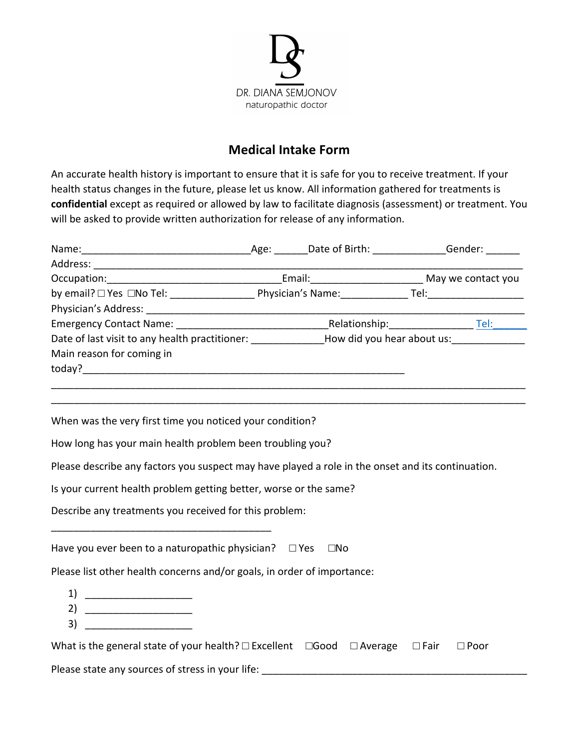

## **Medical Intake Form**

An accurate health history is important to ensure that it is safe for you to receive treatment. If your health status changes in the future, please let us know. All information gathered for treatments is confidential except as required or allowed by law to facilitate diagnosis (assessment) or treatment. You will be asked to provide written authorization for release of any information.

| Date of last visit to any health practitioner: _____________How did you hear about us: _____________                                                                                                                                                                                                                                                                                                                                        |  |                |
|---------------------------------------------------------------------------------------------------------------------------------------------------------------------------------------------------------------------------------------------------------------------------------------------------------------------------------------------------------------------------------------------------------------------------------------------|--|----------------|
| Main reason for coming in                                                                                                                                                                                                                                                                                                                                                                                                                   |  |                |
|                                                                                                                                                                                                                                                                                                                                                                                                                                             |  |                |
|                                                                                                                                                                                                                                                                                                                                                                                                                                             |  |                |
| When was the very first time you noticed your condition?                                                                                                                                                                                                                                                                                                                                                                                    |  |                |
| How long has your main health problem been troubling you?                                                                                                                                                                                                                                                                                                                                                                                   |  |                |
| Please describe any factors you suspect may have played a role in the onset and its continuation.                                                                                                                                                                                                                                                                                                                                           |  |                |
| Is your current health problem getting better, worse or the same?                                                                                                                                                                                                                                                                                                                                                                           |  |                |
| Describe any treatments you received for this problem:                                                                                                                                                                                                                                                                                                                                                                                      |  |                |
| Have you ever been to a naturopathic physician? $\Box$ Yes $\Box$ No                                                                                                                                                                                                                                                                                                                                                                        |  |                |
| Please list other health concerns and/or goals, in order of importance:                                                                                                                                                                                                                                                                                                                                                                     |  |                |
| $\begin{tabular}{c} 1) & \begin{tabular}{@{}c@{}} \multicolumn{3}{@{}c@{}} \multicolumn{3}{@{}c@{}} \multicolumn{3}{@{}c@{}} \multicolumn{3}{@{}c@{}} \multicolumn{3}{@{}c@{}} \multicolumn{3}{@{}c@{}} \multicolumn{3}{@{}c@{}} \multicolumn{3}{@{}c@{}} \multicolumn{3}{@{}c@{}} \multicolumn{3}{@{}c@{}} \multicolumn{3}{@{}c@{}} \multicolumn{3}{@{}c@{}} \multicolumn{3}{@{}c@{}} \multicolumn{3}{@{}c@{}} \multicolumn{3}{@{}c@{}} \$ |  |                |
| 2) $\overline{\qquad \qquad }$                                                                                                                                                                                                                                                                                                                                                                                                              |  |                |
| 3)                                                                                                                                                                                                                                                                                                                                                                                                                                          |  |                |
| What is the general state of your health? $\square$ Excellent $\square$ Good $\square$ Average $\square$ Fair                                                                                                                                                                                                                                                                                                                               |  | $\square$ Poor |

Please state any sources of stress in your life: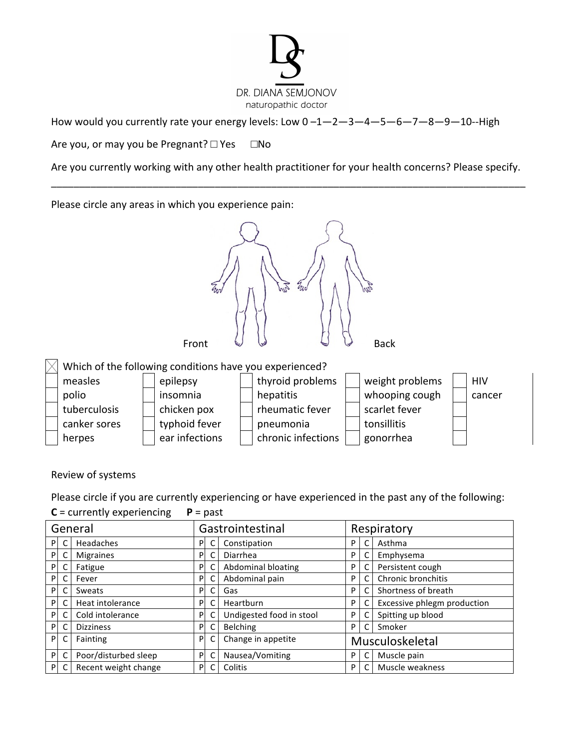

How would you currently rate your energy levels: Low  $0 - 1 - 2 - 3 - 4 - 5 - 6 - 7 - 8 - 9 - 10 -$ High

Are you, or may you be Pregnant?  $\square$  Yes  $\square$  No

Are you currently working with any other health practitioner for your health concerns? Please specify. \_\_\_\_\_\_\_\_\_\_\_\_\_\_\_\_\_\_\_\_\_\_\_\_\_\_\_\_\_\_\_\_\_\_\_\_\_\_\_\_\_\_\_\_\_\_\_\_\_\_\_\_\_\_\_\_\_\_\_\_\_\_\_\_\_\_\_\_\_\_\_\_\_\_\_\_\_\_\_\_\_\_\_\_

Please circle any areas in which you experience pain:



Review of systems

Please circle if you are currently experiencing or have experienced in the past any of the following:

 $C =$  currently experiencing  $P =$  past

| Gastrointestinal<br>General |   |                      | Respiratory |   |                          |   |                 |                             |
|-----------------------------|---|----------------------|-------------|---|--------------------------|---|-----------------|-----------------------------|
| P                           | C | Headaches            | P.          |   | Constipation             | P | C               | Asthma                      |
| P                           | C | <b>Migraines</b>     | P           |   | Diarrhea                 | P | C               | Emphysema                   |
| P                           | C | Fatigue              | P           |   | Abdominal bloating       | P | C               | Persistent cough            |
| P                           | C | Fever                | P.          |   | Abdominal pain           | P | C               | Chronic bronchitis          |
| P                           | C | Sweats               | P           |   | Gas                      | P | C               | Shortness of breath         |
| P                           | C | Heat intolerance     | P           |   | Heartburn                | P | C               | Excessive phlegm production |
| P                           |   | Cold intolerance     | P.          |   | Undigested food in stool | P | C               | Spitting up blood           |
| P                           | C | <b>Dizziness</b>     | P           |   | Belching                 | P | $\mathsf{C}$    | Smoker                      |
| P                           | C | Fainting             | P           | C | Change in appetite       |   | Musculoskeletal |                             |
| P                           | C | Poor/disturbed sleep | P           |   | Nausea/Vomiting          | P | C               | Muscle pain                 |
| $\mathsf{P}$                | C | Recent weight change | PI          |   | Colitis                  | P | C               | Muscle weakness             |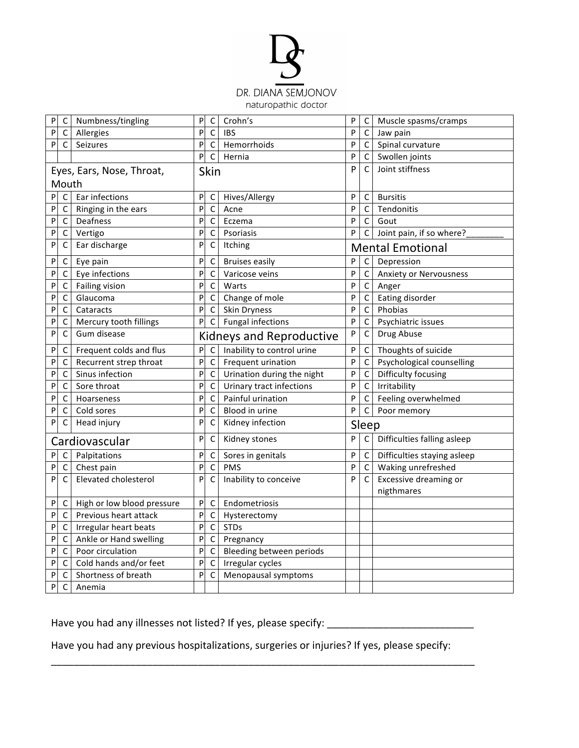

| P         | C           | Numbness/tingling          | P            | $\mathsf C$                     | Crohn's                    | P | C            | Muscle spasms/cramps                |
|-----------|-------------|----------------------------|--------------|---------------------------------|----------------------------|---|--------------|-------------------------------------|
| P         | С           | Allergies                  | P            | $\mathsf{C}$                    | <b>IBS</b>                 | P | C            | Jaw pain                            |
| P         | C           | Seizures                   | P            | $\mathsf{C}$                    | Hemorrhoids                | P | C            | Spinal curvature                    |
|           |             |                            | P            | $\mathsf C$                     | Hernia                     | P | C            | Swollen joints                      |
|           |             | Eyes, Ears, Nose, Throat,  |              | Skin                            |                            | P | C            | Joint stiffness                     |
|           | Mouth       |                            |              |                                 |                            |   |              |                                     |
| P         | $\mathsf C$ | Ear infections             | P            | C                               | Hives/Allergy              | P | C            | <b>Bursitis</b>                     |
| P         | C           | Ringing in the ears        | P            | $\mathsf{C}$                    | Acne                       | P | C            | Tendonitis                          |
| P         | $\mathsf C$ | Deafness                   | P            | $\mathsf{C}$                    | Eczema                     | P | C            | Gout                                |
| P         | $\mathsf C$ | Vertigo                    | P            | $\mathsf C$                     | Psoriasis                  | P | C            | Joint pain, if so where?            |
| P         | С           | Ear discharge              | P            | C                               | Itching                    |   |              | <b>Mental Emotional</b>             |
| P         | C           | Eye pain                   | P            | $\mathsf{C}$                    | <b>Bruises easily</b>      | P | $\mathsf{C}$ | Depression                          |
| P         | C           | Eye infections             | P            | $\mathsf{C}$                    | Varicose veins             | P | C            | <b>Anxiety or Nervousness</b>       |
| P         | $\mathsf C$ | Failing vision             | P            | $\mathsf C$                     | Warts                      | P | $\mathsf C$  | Anger                               |
| P         | C           | Glaucoma                   | P            | $\mathsf C$                     | Change of mole             | P | $\mathsf{C}$ | Eating disorder                     |
| P         | C           | Cataracts                  | P            | $\mathsf C$                     | Skin Dryness               | P | $\mathsf{C}$ | Phobias                             |
| P         | C           | Mercury tooth fillings     | P            | $\mathsf C$                     | <b>Fungal infections</b>   | P | $\mathsf{C}$ | Psychiatric issues                  |
| P         | C           | Gum disease                |              | <b>Kidneys and Reproductive</b> |                            | P | C            | Drug Abuse                          |
| P         | C           | Frequent colds and flus    | ${\sf P}$    | $\mathsf{C}$                    | Inability to control urine | P | C            | Thoughts of suicide                 |
| P         | С           | Recurrent strep throat     | $\, {\sf P}$ | $\mathsf C$                     | Frequent urination         | P | $\mathsf{C}$ | Psychological counselling           |
| P         | C           | Sinus infection            | P            | $\mathsf C$                     | Urination during the night | P | C            | Difficulty focusing                 |
| P         | С           | Sore throat                | P            | С                               | Urinary tract infections   | P | $\mathsf C$  | Irritability                        |
| P         | C           | Hoarseness                 | P            | C                               | Painful urination          | P | $\mathsf C$  | Feeling overwhelmed                 |
| P         | С           | Cold sores                 | P            | $\mathsf C$                     | Blood in urine             | P | $\mathsf C$  | Poor memory                         |
| P         | C           | Head injury                | P            | $\mathsf C$                     | Kidney infection           |   | Sleep        |                                     |
|           |             | Cardiovascular             | P            | $\mathsf C$                     | Kidney stones              | P | $\mathsf{C}$ | Difficulties falling asleep         |
| ${\sf P}$ | $\mathsf C$ | Palpitations               | P            | $\mathsf C$                     | Sores in genitals          | P | C            | Difficulties staying asleep         |
| P         | C           | Chest pain                 | P            | $\mathsf C$                     | PMS                        | P | C            | Waking unrefreshed                  |
| P         | C           | Elevated cholesterol       | P            | $\mathsf C$                     | Inability to conceive      | P | C            | Excessive dreaming or<br>nigthmares |
| P         | C           | High or low blood pressure | P            | $\mathsf C$                     | Endometriosis              |   |              |                                     |
| P         | С           | Previous heart attack      | P            | C                               | Hysterectomy               |   |              |                                     |
| P         | С           | Irregular heart beats      | P            | $\mathsf C$                     | <b>STDs</b>                |   |              |                                     |
| P         | С           | Ankle or Hand swelling     | P            | $\mathsf C$                     | Pregnancy                  |   |              |                                     |
| P         | C           | Poor circulation           | P            | $\mathsf C$                     | Bleeding between periods   |   |              |                                     |
| P         | С           | Cold hands and/or feet     | P            | $\mathsf C$                     | Irregular cycles           |   |              |                                     |
| P         | С           | Shortness of breath        | P            | $\mathsf{C}$                    | Menopausal symptoms        |   |              |                                     |
| Ρ         | C           | Anemia                     |              |                                 |                            |   |              |                                     |

Have you had any illnesses not listed? If yes, please specify: \_\_\_\_\_\_\_\_\_\_\_\_\_\_\_\_\_\_\_\_\_\_\_\_\_\_

Have you had any previous hospitalizations, surgeries or injuries? If yes, please specify:

\_\_\_\_\_\_\_\_\_\_\_\_\_\_\_\_\_\_\_\_\_\_\_\_\_\_\_\_\_\_\_\_\_\_\_\_\_\_\_\_\_\_\_\_\_\_\_\_\_\_\_\_\_\_\_\_\_\_\_\_\_\_\_\_\_\_\_\_\_\_\_\_\_\_\_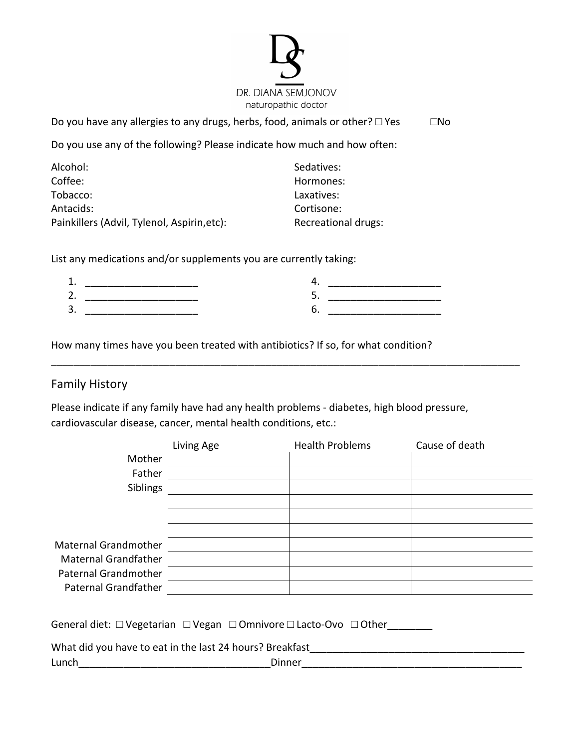

Do you have any allergies to any drugs, herbs, food, animals or other?  $\Box$  Yes  $\Box$  No

Do you use any of the following? Please indicate how much and how often:

| Alcohol:                                    | Sedatives:          |
|---------------------------------------------|---------------------|
| Coffee:                                     | Hormones:           |
| Tobacco:                                    | Laxatives:          |
| Antacids:                                   | Cortisone:          |
| Painkillers (Advil, Tylenol, Aspirin, etc): | Recreational drugs: |

List any medications and/or supplements you are currently taking:

| <u>.</u> |  |
|----------|--|
| ∽<br>ັ   |  |

How many times have you been treated with antibiotics? If so, for what condition?

## Family History

Please indicate if any family have had any health problems - diabetes, high blood pressure, cardiovascular disease, cancer, mental health conditions, etc.:

\_\_\_\_\_\_\_\_\_\_\_\_\_\_\_\_\_\_\_\_\_\_\_\_\_\_\_\_\_\_\_\_\_\_\_\_\_\_\_\_\_\_\_\_\_\_\_\_\_\_\_\_\_\_\_\_\_\_\_\_\_\_\_\_\_\_\_\_\_\_\_\_\_\_\_\_\_\_\_\_\_\_\_

|                             | Living Age | <b>Health Problems</b> | Cause of death |
|-----------------------------|------------|------------------------|----------------|
| Mother                      |            |                        |                |
| Father                      |            |                        |                |
| Siblings                    |            |                        |                |
|                             |            |                        |                |
|                             |            |                        |                |
|                             |            |                        |                |
| <b>Maternal Grandmother</b> |            |                        |                |
| <b>Maternal Grandfather</b> |            |                        |                |
| <b>Paternal Grandmother</b> |            |                        |                |
| <b>Paternal Grandfather</b> |            |                        |                |
|                             |            |                        |                |

General diet: □ Vegetarian □ Vegan □ Omnivore □ Lacto-Ovo □ Other\_\_\_\_\_\_\_\_

| What did you have to eat in the last 24 hours? Breakfast |        |
|----------------------------------------------------------|--------|
| Lunch                                                    | Dinner |